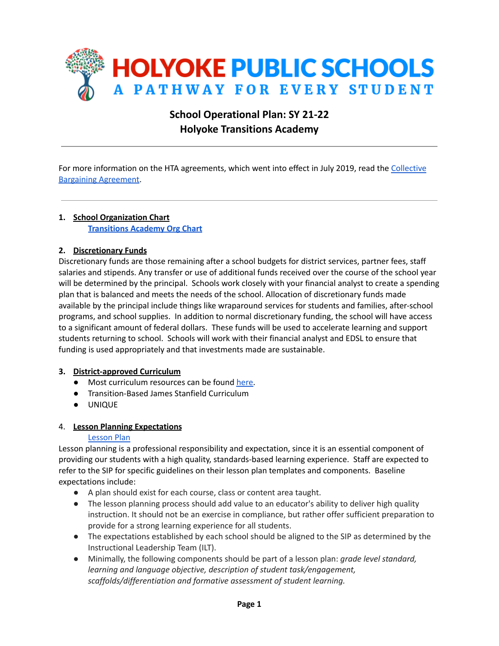

# **School Operational Plan: SY 21-22 Holyoke Transitions Academy**

For more information on the HTA agreements, which went into effect in July 2019, read the [Collective](https://www.hps.holyoke.ma.us/wp-content/uploads/2019/07/HTA-Agreement-2020-20222.pdf) Bargaining [Agreement](https://www.hps.holyoke.ma.us/wp-content/uploads/2019/07/HTA-Agreement-2020-20222.pdf).

## **1. School Organization Chart [Transitions](https://drive.google.com/file/d/17IWDQ3gz7jXJ4ifcpylzlTwiWu-NU9Yk/view?usp=sharing) Academy Org Chart**

## **2. Discretionary Funds**

Discretionary funds are those remaining after a school budgets for district services, partner fees, staff salaries and stipends. Any transfer or use of additional funds received over the course of the school year will be determined by the principal. Schools work closely with your financial analyst to create a spending plan that is balanced and meets the needs of the school. Allocation of discretionary funds made available by the principal include things like wraparound services for students and families, after-school programs, and school supplies. In addition to normal discretionary funding, the school will have access to a significant amount of federal dollars. These funds will be used to accelerate learning and support students returning to school. Schools will work with their financial analyst and EDSL to ensure that funding is used appropriately and that investments made are sustainable.

#### **3. District-approved Curriculum**

- **●** Most curriculum resources can be found [here.](https://docs.google.com/document/d/1u9Xo14yEjeJvOX18hzp2Wytfr8EWIALCrpksqMw4xsQ/edit?usp=sharing)
- Transition-Based James Stanfield Curriculum
- UNIQUE

#### 4. **Lesson Planning Expectations**

#### [Lesson](https://docs.google.com/document/d/1Uuys1BIxeZwegLd3-iK4KKojFO1rQblijITK1I_F3uQ/edit?usp=sharing) Plan

Lesson planning is a professional responsibility and expectation, since it is an essential component of providing our students with a high quality, standards-based learning experience. Staff are expected to refer to the SIP for specific guidelines on their lesson plan templates and components. Baseline expectations include:

- A plan should exist for each course, class or content area taught.
- The lesson planning process should add value to an educator's ability to deliver high quality instruction. It should not be an exercise in compliance, but rather offer sufficient preparation to provide for a strong learning experience for all students.
- The expectations established by each school should be aligned to the SIP as determined by the Instructional Leadership Team (ILT).
- Minimally, the following components should be part of a lesson plan: *grade level standard, learning and language objective, description of student task/engagement, scaffolds/differentiation and formative assessment of student learning.*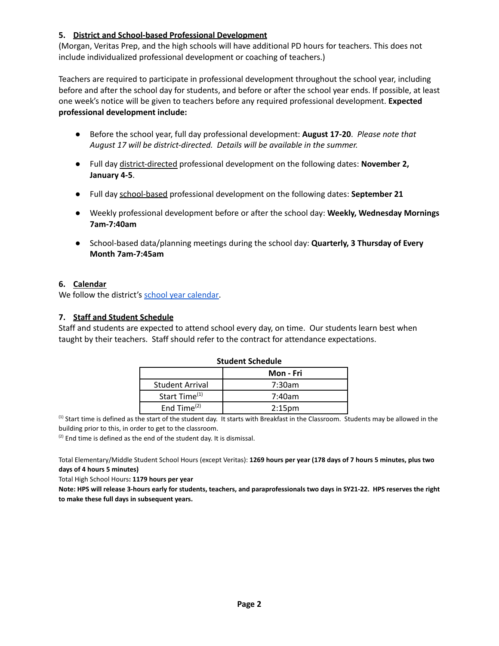## **5. District and School-based Professional Development**

(Morgan, Veritas Prep, and the high schools will have additional PD hours for teachers. This does not include individualized professional development or coaching of teachers.)

Teachers are required to participate in professional development throughout the school year, including before and after the school day for students, and before or after the school year ends. If possible, at least one week's notice will be given to teachers before any required professional development. **Expected professional development include:**

- Before the school year, full day professional development: **August 17-20**. *Please note that August 17 will be district-directed. Details will be available in the summer.*
- Full day district-directed professional development on the following dates: **November 2, January 4-5**.
- Full day school-based professional development on the following dates: **September 21**
- Weekly professional development before or after the school day: **Weekly, Wednesday Mornings 7am-7:40am**
- School-based data/planning meetings during the school day: **Quarterly, 3 Thursday of Every Month 7am-7:45am**

#### **6. Calendar**

We follow the district's school year [calendar.](https://www.hps.holyoke.ma.us/families/calendars/)

## **7. Staff and Student Schedule**

Staff and students are expected to attend school every day, on time. Our students learn best when taught by their teachers. Staff should refer to the contract for attendance expectations.

| .                         |                    |  |  |  |
|---------------------------|--------------------|--|--|--|
| Mon - Fri                 |                    |  |  |  |
| <b>Student Arrival</b>    | 7:30am             |  |  |  |
| Start Time <sup>(1)</sup> | 7:40am             |  |  |  |
| End Time $(2)$            | 2:15 <sub>pm</sub> |  |  |  |

#### **Student Schedule**

<sup>(1)</sup> Start time is defined as the start of the student day. It starts with Breakfast in the Classroom. Students may be allowed in the building prior to this, in order to get to the classroom.

 $(2)$  End time is defined as the end of the student day. It is dismissal.

Total Elementary/Middle Student School Hours (except Veritas): **1269 hours per year (178 days of 7 hours 5 minutes, plus two days of 4 hours 5 minutes)**

Total High School Hours**: 1179 hours per year**

**Note: HPS will release 3-hours early for students, teachers, and paraprofessionals two days in SY21-22. HPS reserves the right to make these full days in subsequent years.**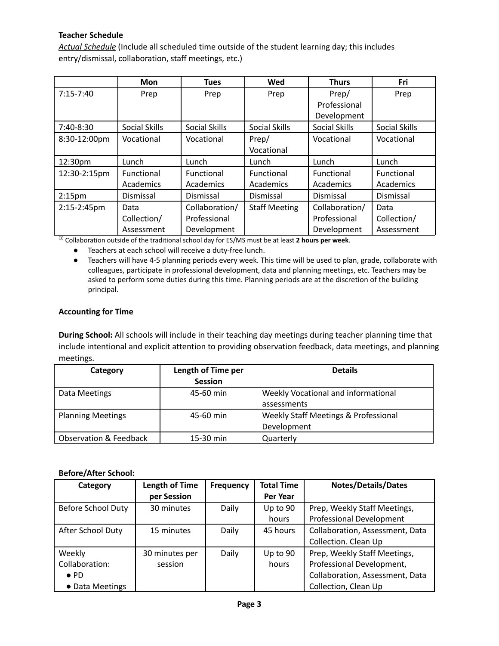## **Teacher Schedule**

*Actual Schedule* (Include all scheduled time outside of the student learning day; this includes entry/dismissal, collaboration, staff meetings, etc.)

|                    | <b>Mon</b>           | <b>Tues</b>          | Wed                  | <b>Thurs</b>         | Fri           |
|--------------------|----------------------|----------------------|----------------------|----------------------|---------------|
| $7:15-7:40$        | Prep                 | Prep                 | Prep                 | Prep/                | Prep          |
|                    |                      |                      |                      | Professional         |               |
|                    |                      |                      |                      | Development          |               |
| 7:40-8:30          | <b>Social Skills</b> | <b>Social Skills</b> | Social Skills        | <b>Social Skills</b> | Social Skills |
| 8:30-12:00pm       | Vocational           | Vocational           | Prep/                | Vocational           | Vocational    |
|                    |                      |                      | Vocational           |                      |               |
| 12:30pm            | Lunch                | Lunch                | Lunch                | Lunch                | Lunch         |
| 12:30-2:15pm       | Functional           | Functional           | Functional           | Functional           | Functional    |
|                    | Academics            | Academics            | Academics            | Academics            | Academics     |
| 2:15 <sub>pm</sub> | Dismissal            | Dismissal            | Dismissal            | Dismissal            | Dismissal     |
| 2:15-2:45pm        | Data                 | Collaboration/       | <b>Staff Meeting</b> | Collaboration/       | Data          |
|                    | Collection/          | Professional         |                      | Professional         | Collection/   |
|                    | Assessment           | Development          |                      | Development          | Assessment    |

(3) Collaboration outside of the traditional school day for ES/MS must be at least **2 hours per week**.

● Teachers at each school will receive a duty-free lunch.

● Teachers will have 4-5 planning periods every week. This time will be used to plan, grade, collaborate with colleagues, participate in professional development, data and planning meetings, etc. Teachers may be asked to perform some duties during this time. Planning periods are at the discretion of the building principal.

#### **Accounting for Time**

**During School:** All schools will include in their teaching day meetings during teacher planning time that include intentional and explicit attention to providing observation feedback, data meetings, and planning meetings.

| Category                          | Length of Time per | <b>Details</b>                       |
|-----------------------------------|--------------------|--------------------------------------|
|                                   | <b>Session</b>     |                                      |
| Data Meetings                     | 45-60 min          | Weekly Vocational and informational  |
|                                   |                    | assessments                          |
| <b>Planning Meetings</b>          | 45-60 min          | Weekly Staff Meetings & Professional |
|                                   |                    | Development                          |
| <b>Observation &amp; Feedback</b> | 15-30 min          | Quarterly                            |

#### **Before/After School:**

| Category           | <b>Length of Time</b> | <b>Frequency</b> | <b>Total Time</b> | <b>Notes/Details/Dates</b>      |
|--------------------|-----------------------|------------------|-------------------|---------------------------------|
|                    | per Session           |                  | Per Year          |                                 |
| Before School Duty | 30 minutes            | Daily            | Up to 90          | Prep, Weekly Staff Meetings,    |
|                    |                       |                  | hours             | <b>Professional Development</b> |
| After School Duty  | 15 minutes            | Daily            | 45 hours          | Collaboration, Assessment, Data |
|                    |                       |                  |                   | Collection. Clean Up            |
| Weekly             | 30 minutes per        | Daily            | Up to 90          | Prep, Weekly Staff Meetings,    |
| Collaboration:     | session               |                  | hours             | Professional Development,       |
| $\bullet$ PD       |                       |                  |                   | Collaboration, Assessment, Data |
| • Data Meetings    |                       |                  |                   | Collection, Clean Up            |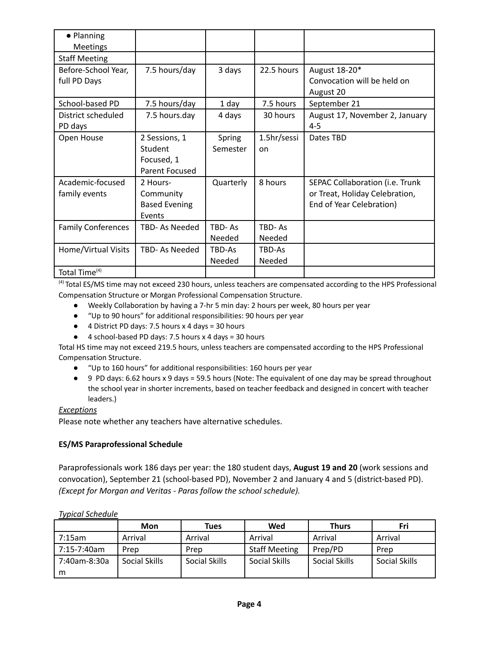| • Planning                |                      |           |               |                                 |
|---------------------------|----------------------|-----------|---------------|---------------------------------|
| <b>Meetings</b>           |                      |           |               |                                 |
| <b>Staff Meeting</b>      |                      |           |               |                                 |
| Before-School Year,       | 7.5 hours/day        | 3 days    | 22.5 hours    | August 18-20*                   |
| full PD Days              |                      |           |               | Convocation will be held on     |
|                           |                      |           |               | August 20                       |
| School-based PD           | 7.5 hours/day        | 1 day     | 7.5 hours     | September 21                    |
| District scheduled        | 7.5 hours.day        | 4 days    | 30 hours      | August 17, November 2, January  |
| PD days                   |                      |           |               | $4 - 5$                         |
| Open House                | 2 Sessions, 1        | Spring    | 1.5hr/sessi   | Dates TBD                       |
|                           | Student              | Semester  | on            |                                 |
|                           | Focused, 1           |           |               |                                 |
|                           | Parent Focused       |           |               |                                 |
| Academic-focused          | 2 Hours-             | Quarterly | 8 hours       | SEPAC Collaboration (i.e. Trunk |
| family events             | Community            |           |               | or Treat, Holiday Celebration,  |
|                           | <b>Based Evening</b> |           |               | End of Year Celebration)        |
|                           | Events               |           |               |                                 |
| <b>Family Conferences</b> | TBD- As Needed       | TBD-As    | TBD-As        |                                 |
|                           |                      | Needed    | <b>Needed</b> |                                 |
| Home/Virtual Visits       | TBD- As Needed       | TBD-As    | TBD-As        |                                 |
|                           |                      | Needed    | Needed        |                                 |
| Total Time <sup>(4)</sup> |                      |           |               |                                 |

<sup>(4)</sup> Total ES/MS time may not exceed 230 hours, unless teachers are compensated according to the HPS Professional Compensation Structure or Morgan Professional Compensation Structure.

- Weekly Collaboration by having a 7-hr 5 min day: 2 hours per week, 80 hours per year
- "Up to 90 hours" for additional responsibilities: 90 hours per year
- 4 District PD days: 7.5 hours x 4 days = 30 hours
- 4 school-based PD days: 7.5 hours x 4 days = 30 hours

Total HS time may not exceed 219.5 hours, unless teachers are compensated according to the HPS Professional Compensation Structure.

- "Up to 160 hours" for additional responsibilities: 160 hours per year
- 9 PD days: 6.62 hours x 9 days = 59.5 hours (Note: The equivalent of one day may be spread throughout the school year in shorter increments, based on teacher feedback and designed in concert with teacher leaders.)

#### *Exceptions*

Please note whether any teachers have alternative schedules.

#### **ES/MS Paraprofessional Schedule**

Paraprofessionals work 186 days per year: the 180 student days, **August 19 and 20** (work sessions and convocation), September 21 (school-based PD), November 2 and January 4 and 5 (district-based PD). *(Except for Morgan and Veritas - Paras follow the school schedule).*

|              | Mon           | Tues          | Wed                  | <b>Thurs</b>  | Fri           |
|--------------|---------------|---------------|----------------------|---------------|---------------|
| 7:15am       | Arrival       | Arrival       | Arrival              | Arrival       | Arrival       |
| 7:15-7:40am  | Prep          | Prep          | <b>Staff Meeting</b> | Prep/PD       | Prep          |
| 7:40am-8:30a | Social Skills | Social Skills | Social Skills        | Social Skills | Social Skills |
| m            |               |               |                      |               |               |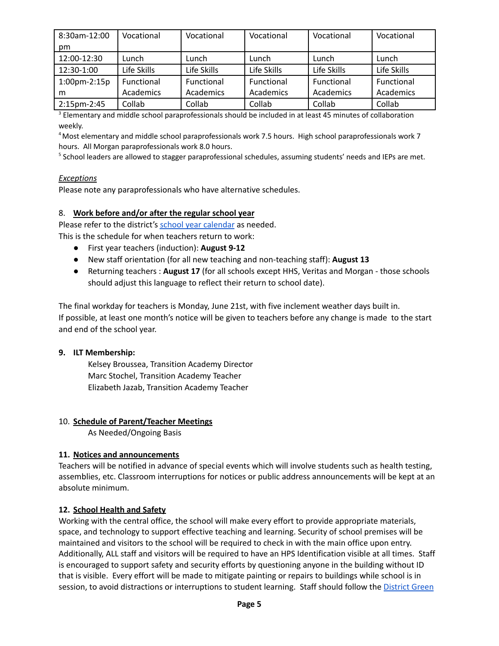| 8:30am-12:00       | Vocational  | Vocational  | Vocational  | Vocational  | Vocational  |
|--------------------|-------------|-------------|-------------|-------------|-------------|
| pm                 |             |             |             |             |             |
| 12:00-12:30        | Lunch       | Lunch       | Lunch       | Lunch       | Lunch       |
| 12:30-1:00         | Life Skills | Life Skills | Life Skills | Life Skills | Life Skills |
| $1:00$ pm- $2:15p$ | Functional  | Functional  | Functional  | Functional  | Functional  |
| m                  | Academics   | Academics   | Academics   | Academics   | Academics   |
| 2:15pm-2:45        | Collab      | Collab      | Collab      | Collab      | Collab      |

<sup>3</sup> Elementary and middle school paraprofessionals should be included in at least 45 minutes of collaboration weekly.

<sup>4</sup>Most elementary and middle school paraprofessionals work 7.5 hours. High school paraprofessionals work 7 hours. All Morgan paraprofessionals work 8.0 hours.

<sup>5</sup> School leaders are allowed to stagger paraprofessional schedules, assuming students' needs and IEPs are met.

#### *Exceptions*

Please note any paraprofessionals who have alternative schedules.

#### 8. **Work before and/or after the regular school year**

Please refer to the district's school year [calendar](https://www.hps.holyoke.ma.us/families/calendars/) as needed.

This is the schedule for when teachers return to work:

- First year teachers (induction): **August 9-12**
- New staff orientation (for all new teaching and non-teaching staff): **August 13**
- Returning teachers : **August 17** (for all schools except HHS, Veritas and Morgan those schools should adjust this language to reflect their return to school date).

The final workday for teachers is Monday, June 21st, with five inclement weather days built in. If possible, at least one month's notice will be given to teachers before any change is made to the start and end of the school year.

#### **9. ILT Membership:**

Kelsey Broussea, Transition Academy Director Marc Stochel, Transition Academy Teacher Elizabeth Jazab, Transition Academy Teacher

#### 10. **Schedule of Parent/Teacher Meetings**

As Needed/Ongoing Basis

#### **11. Notices and announcements**

Teachers will be notified in advance of special events which will involve students such as health testing, assemblies, etc. Classroom interruptions for notices or public address announcements will be kept at an absolute minimum.

#### **12. School Health and Safety**

Working with the central office, the school will make every effort to provide appropriate materials, space, and technology to support effective teaching and learning. Security of school premises will be maintained and visitors to the school will be required to check in with the main office upon entry. Additionally, ALL staff and visitors will be required to have an HPS Identification visible at all times. Staff is encouraged to support safety and security efforts by questioning anyone in the building without ID that is visible. Every effort will be made to mitigate painting or repairs to buildings while school is in session, to avoid distractions or interruptions to student learning. Staff should follow the [District](https://docs.google.com/document/d/1tTwTeEKVhYowh6FBrDq92jG6qWqqrKBx94u0MgZIIlM/edit?usp=sharing) Green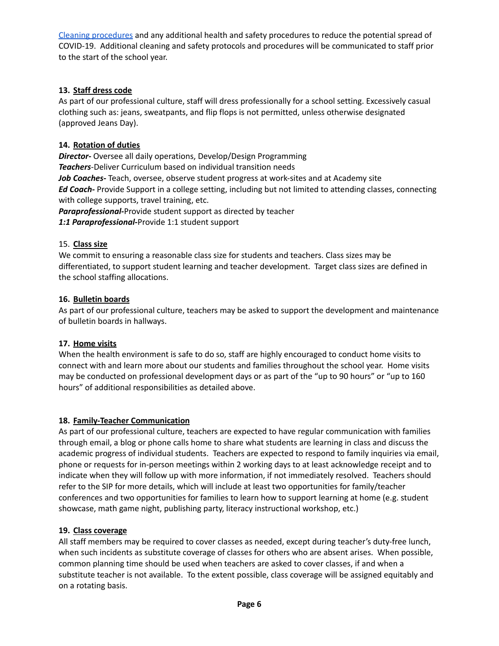Cleaning [procedures](https://docs.google.com/document/d/1tTwTeEKVhYowh6FBrDq92jG6qWqqrKBx94u0MgZIIlM/edit?usp=sharing) and any additional health and safety procedures to reduce the potential spread of COVID-19. Additional cleaning and safety protocols and procedures will be communicated to staff prior to the start of the school year.

## **13. Staff dress code**

As part of our professional culture, staff will dress professionally for a school setting. Excessively casual clothing such as: jeans, sweatpants, and flip flops is not permitted, unless otherwise designated (approved Jeans Day).

## **14. Rotation of duties**

*Director-* Oversee all daily operations, Develop/Design Programming *Teachers*-Deliver Curriculum based on individual transition needs *Job Coaches-* Teach, oversee, observe student progress at work-sites and at Academy site *Ed Coach-* Provide Support in a college setting, including but not limited to attending classes, connecting with college supports, travel training, etc. *Paraprofessional-*Provide student support as directed by teacher

*1:1 Paraprofessional-*Provide 1:1 student support

## 15. **Class size**

We commit to ensuring a reasonable class size for students and teachers. Class sizes may be differentiated, to support student learning and teacher development. Target class sizes are defined in the school staffing allocations.

## **16. Bulletin boards**

As part of our professional culture, teachers may be asked to support the development and maintenance of bulletin boards in hallways.

## **17. Home visits**

When the health environment is safe to do so, staff are highly encouraged to conduct home visits to connect with and learn more about our students and families throughout the school year. Home visits may be conducted on professional development days or as part of the "up to 90 hours" or "up to 160 hours" of additional responsibilities as detailed above.

## **18. Family-Teacher Communication**

As part of our professional culture, teachers are expected to have regular communication with families through email, a blog or phone calls home to share what students are learning in class and discuss the academic progress of individual students. Teachers are expected to respond to family inquiries via email, phone or requests for in-person meetings within 2 working days to at least acknowledge receipt and to indicate when they will follow up with more information, if not immediately resolved. Teachers should refer to the SIP for more details, which will include at least two opportunities for family/teacher conferences and two opportunities for families to learn how to support learning at home (e.g. student showcase, math game night, publishing party, literacy instructional workshop, etc.)

## **19. Class coverage**

All staff members may be required to cover classes as needed, except during teacher's duty-free lunch, when such incidents as substitute coverage of classes for others who are absent arises. When possible, common planning time should be used when teachers are asked to cover classes, if and when a substitute teacher is not available. To the extent possible, class coverage will be assigned equitably and on a rotating basis.